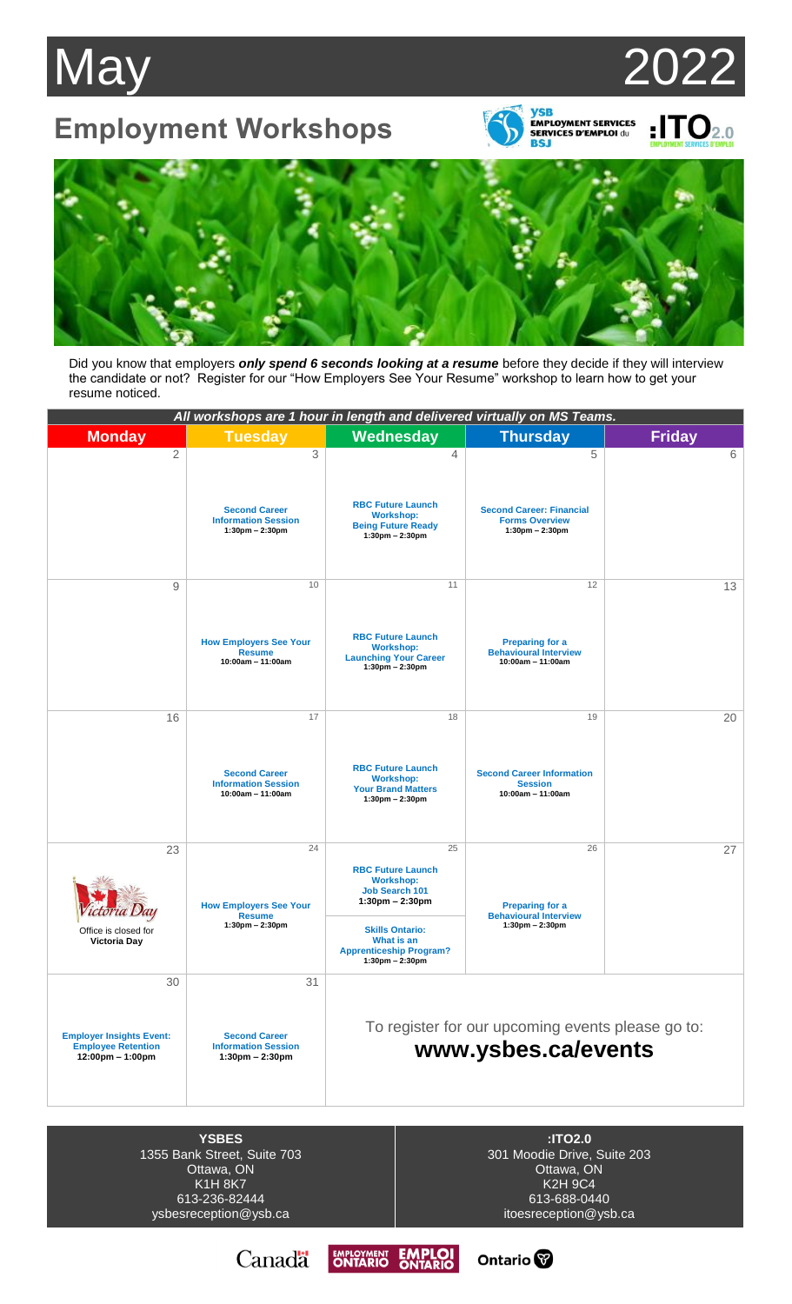## May 2022

## **Employment Workshops**



**ySB<br>EMPLOYMENT SERVICES<br>SERVICES D'EMPLOI du<br>BSJ** EMPLOYMENT SERVICES D'EMPLOY



Did you know that employers *only spend 6 seconds looking at a resume* before they decide if they will interview the candidate or not? Register for our "How Employers See Your Resume" workshop to learn how to get your resume noticed.

|                                                                                                          | All workshops are 1 hour in length and delivered virtually on MS Teams.                       |                                                                                                                                                                                                                                 |                                                                                     |               |
|----------------------------------------------------------------------------------------------------------|-----------------------------------------------------------------------------------------------|---------------------------------------------------------------------------------------------------------------------------------------------------------------------------------------------------------------------------------|-------------------------------------------------------------------------------------|---------------|
| <b>Monday</b>                                                                                            | <b>Tuesday</b>                                                                                | Wednesday                                                                                                                                                                                                                       | <b>Thursday</b>                                                                     | <b>Friday</b> |
| $\overline{2}$                                                                                           | 3<br><b>Second Career</b><br><b>Information Session</b><br>$1:30$ pm - 2:30pm                 | 4<br><b>RBC Future Launch</b><br><b>Workshop:</b><br><b>Being Future Ready</b><br>$1:30 \text{pm} - 2:30 \text{pm}$                                                                                                             | 5<br><b>Second Career: Financial</b><br><b>Forms Overview</b><br>$1:30$ pm - 2:30pm | 6             |
| 9                                                                                                        | 10<br><b>How Employers See Your</b><br><b>Resume</b><br>$10:00am - 11:00am$                   | 11<br><b>RBC Future Launch</b><br><b>Workshop:</b><br><b>Launching Your Career</b><br>$1:30 \text{pm} - 2:30 \text{pm}$                                                                                                         | 12<br><b>Preparing for a</b><br><b>Behavioural Interview</b><br>$10:00am - 11:00am$ | 13            |
| 16                                                                                                       | 17<br><b>Second Career</b><br><b>Information Session</b><br>10:00am - 11:00am                 | 18<br><b>RBC Future Launch</b><br><b>Workshop:</b><br><b>Your Brand Matters</b><br>$1:30 \text{pm} - 2:30 \text{pm}$                                                                                                            | 19<br><b>Second Career Information</b><br><b>Session</b><br>10:00am - 11:00am       | 20            |
| 23<br>Office is closed for<br><b>Victoria Day</b>                                                        | 24<br><b>How Employers See Your</b><br><b>Resume</b><br>$1:30 \text{pm} - 2:30 \text{pm}$     | 25<br><b>RBC Future Launch</b><br><b>Workshop:</b><br><b>Job Search 101</b><br>$1:30 \text{pm} - 2:30 \text{pm}$<br><b>Skills Ontario:</b><br>What is an<br><b>Apprenticeship Program?</b><br>$1:30 \text{pm} - 2:30 \text{pm}$ | 26<br><b>Preparing for a</b><br><b>Behavioural Interview</b><br>$1:30$ pm - 2:30pm  | 27            |
| 30<br><b>Employer Insights Event:</b><br><b>Employee Retention</b><br>$12:00 \text{pm} - 1:00 \text{pm}$ | 31<br><b>Second Career</b><br><b>Information Session</b><br>$1:30 \text{pm} - 2:30 \text{pm}$ | To register for our upcoming events please go to:<br>www.ysbes.ca/events                                                                                                                                                        |                                                                                     |               |
| <b>YSBES</b><br>:ITO2.0<br>$1955$ Dank Ctrant Cuita $709$<br>$201$ Moodia Drive Puito 202                |                                                                                               |                                                                                                                                                                                                                                 |                                                                                     |               |

1355 Bank Street, Suite 703 Ottawa, ON K1H 8K7 613-236-82444 ysbesreception@ysb.ca

301 Moodie Drive, Suite 203 Ottawa, ON K2H 9C4 613-688-0440 itoesreception@ysb.ca

Ontario<sup>®</sup>